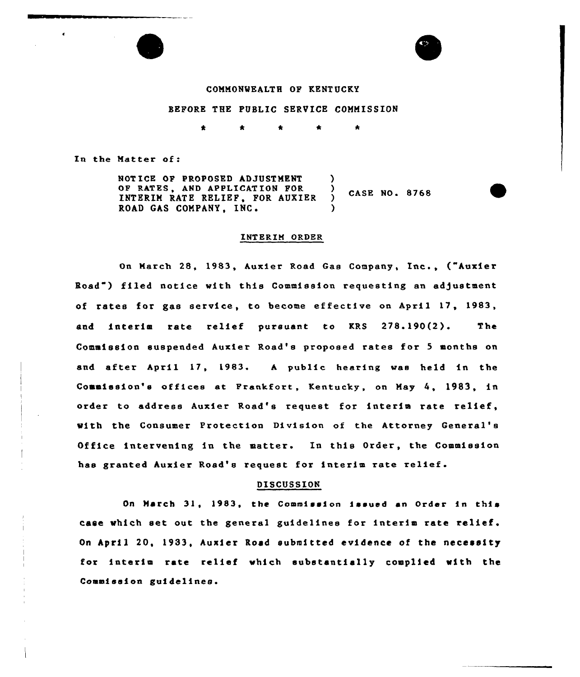### COMMONWEALTH OF KENT UCKY

ws

#### EEFORE THE PUBLIC SERVICE COMMISSION

\* \* \* \*

In the Matter of:

NOT ICE OF PROPOSED AD3USTMENT OP RATES, AND APPLICAT ION FOR INTERIM RATE RELIEF, FOR AUXIER ROAD GAS COMPANY, INC. ) ) CASE NO. 8768 )

#### INTERIM ORDER

On March 28, 1983, Auxier Road Gas Company, Inc., ("Auxier Road") filed notice with this Commission requesting an ad)ustment of rates for gas service, to become effective on April 17, 1983, and interim rate relief pursuant to KRS 278.190(2). The Commission suspended Auxier Road's proposed rates for <sup>5</sup> months on and after April 17, 1983. A public hearing was held in the Commission's offices at Prsnkfort, Kentucky, on May 4, 1983, in order to address Auxier Road's request for interim rate relief, with the Consumer Protection Division of the Attorney General' Office intervening in the matter. In this Order, the Commission has granted Auxier Road's request for interim rate relief.

#### DISCUSSION

On March 31, 1983, the Commission issued an order in this case which set out the general guidelines for interim rate relief. On April 20, 1933, Auxier Road submitted evidence of the necessity for interim rate relief which substantially complied with the Commission guidelines.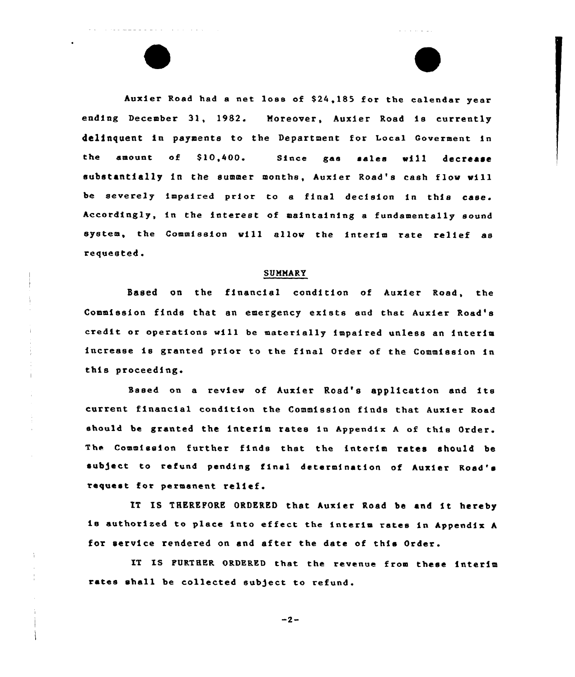huxier Road had <sup>a</sup> aet loss of S24,185 for the calendar year ending December 31, 1982. Moreover, Auxier Road is currently delinquent in payments to the Department for Local Goverment in the amount of \$10,400. Since gas sales will decrease substantially in the summer months, Auxier Road's cash flow will be severely impaired prior to a final decision in this case. Accordingly, in the interest of maintainiag a fundamentally sound system, the Commission will allow the interim rate relief as requested.

and a straight

 $\label{eq:12} \begin{array}{lllllllllllll} \alpha & \alpha_{\rm m} = \alpha_{\rm m} = \alpha_{\rm m} = \alpha_{\rm m} = \alpha_{\rm m} = \alpha_{\rm m} = \alpha_{\rm m} = \alpha_{\rm m} = \alpha_{\rm m} = \alpha_{\rm m} = \alpha_{\rm m} = \alpha_{\rm m} = \alpha_{\rm m} = \alpha_{\rm m} = \alpha_{\rm m} = \alpha_{\rm m} = \alpha_{\rm m} = \alpha_{\rm m} = \alpha_{\rm m} = \alpha_{\rm m} = \alpha_{\rm m} = \alpha_{\rm m} = \alpha_{\rm m} = \alpha_{\rm m} = \alpha_{\$ 

#### SUMMARY

Based on the financial coadition of Auxier Road, the Commission finds that an emergency exists and that Auxier Road's credit or operations will be materially impaired unless an interim increase ie granted prior to the final Order of the Commission ia this proceeding.

Baaed on <sup>a</sup> review of Auxier Road's application and its current financial condition the Commission finds that Auxier Road should be granted the interim rates ia Appendix <sup>A</sup> of this Order. The Commission further finds that the interim rates should be subject to refund pending final determination of Auxier Road's request for permanent relief.

IT IS THEREPORE ORDERED that Auxier Road be and it hereby is authorised to place into effect the interim rates ia Appendix <sup>A</sup> for service rendered on and after the date of this Order.

IT IS FURTHER ORDERED that the revenue from these interim rates shall be collected subject to refund.

 $-2-$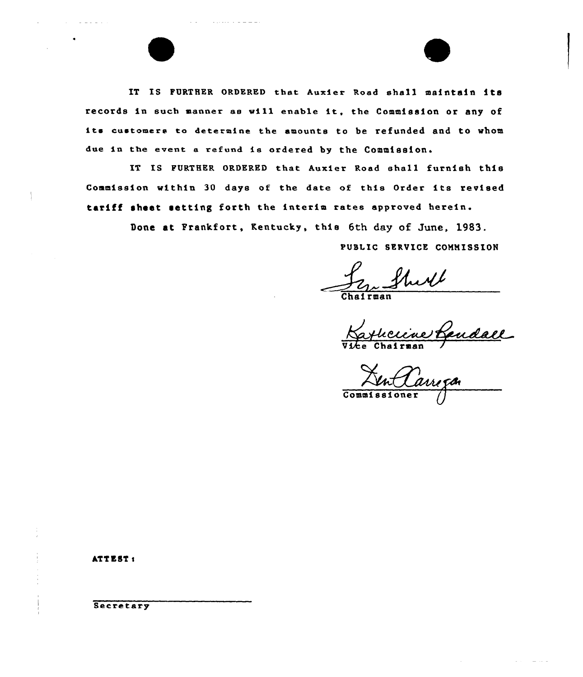IT IS FURTHER ORDERED that Auxier Road shall maintain its records in such manner ae will enable it, the Commission or any of its customers to determine the amounts to be refunded and to whom due in the event a refund is ordered by the Commission.

IT IS FURTHER ORDERED that Auxier Road eha11 furnish this Commission within <sup>30</sup> days of the date of this Order its revised tariff sheet setting forth the interim rates approved herein.

Done at Frankfort, Kentucky, this 6th day of June, 1983.

PUBLIC SERVICE COMMISSION

2 Shull

Katherine Lendace

In Carrega

ATTEST:

Secretary